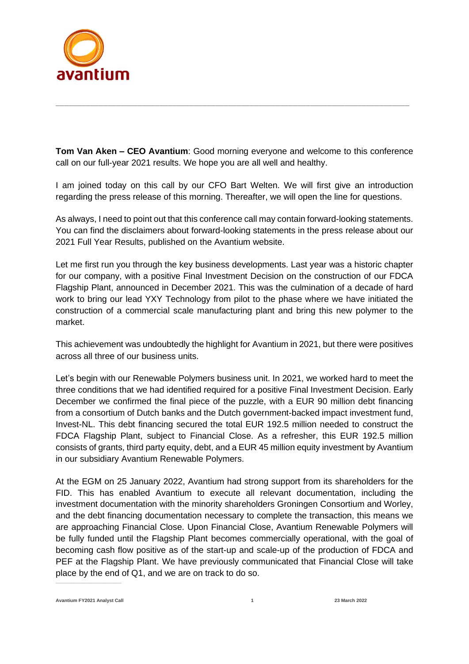

**Tom Van Aken – CEO Avantium**: Good morning everyone and welcome to this conference call on our full-year 2021 results. We hope you are all well and healthy.

\_\_\_\_\_\_\_\_\_\_\_\_\_\_\_\_\_\_\_\_\_\_\_\_\_\_\_\_\_\_\_\_\_\_\_\_\_\_\_\_\_\_\_\_\_\_\_\_\_\_\_\_\_\_\_\_\_\_\_\_\_\_\_\_\_\_\_\_\_\_\_\_\_\_\_\_\_\_\_\_\_\_

I am joined today on this call by our CFO Bart Welten. We will first give an introduction regarding the press release of this morning. Thereafter, we will open the line for questions.

As always, I need to point out that this conference call may contain forward-looking statements. You can find the disclaimers about forward-looking statements in the press release about our 2021 Full Year Results, published on the Avantium website.

Let me first run you through the key business developments. Last year was a historic chapter for our company, with a positive Final Investment Decision on the construction of our FDCA Flagship Plant, announced in December 2021. This was the culmination of a decade of hard work to bring our lead YXY Technology from pilot to the phase where we have initiated the construction of a commercial scale manufacturing plant and bring this new polymer to the market.

This achievement was undoubtedly the highlight for Avantium in 2021, but there were positives across all three of our business units.

Let's begin with our Renewable Polymers business unit. In 2021, we worked hard to meet the three conditions that we had identified required for a positive Final Investment Decision. Early December we confirmed the final piece of the puzzle, with a EUR 90 million debt financing from a consortium of Dutch banks and the Dutch government-backed impact investment fund, Invest-NL. This debt financing secured the total EUR 192.5 million needed to construct the FDCA Flagship Plant, subject to Financial Close. As a refresher, this EUR 192.5 million consists of grants, third party equity, debt, and a EUR 45 million equity investment by Avantium in our subsidiary Avantium Renewable Polymers.

At the EGM on 25 January 2022, Avantium had strong support from its shareholders for the FID. This has enabled Avantium to execute all relevant documentation, including the investment documentation with the minority shareholders Groningen Consortium and Worley, and the debt financing documentation necessary to complete the transaction, this means we are approaching Financial Close. Upon Financial Close, Avantium Renewable Polymers will be fully funded until the Flagship Plant becomes commercially operational, with the goal of becoming cash flow positive as of the start-up and scale-up of the production of FDCA and PEF at the Flagship Plant. We have previously communicated that Financial Close will take place by the end of Q1, and we are on track to do so.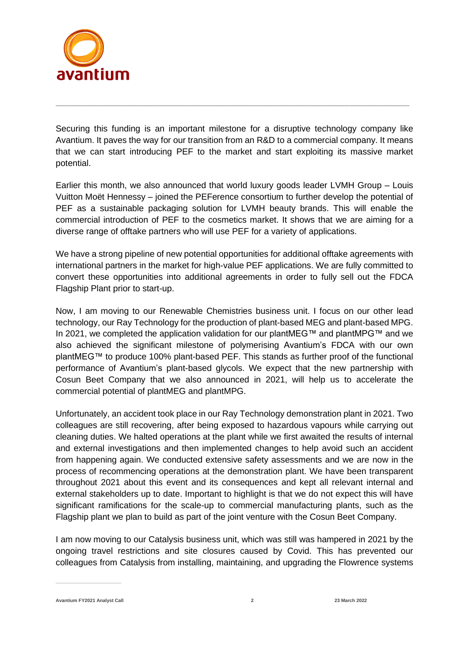

Securing this funding is an important milestone for a disruptive technology company like Avantium. It paves the way for our transition from an R&D to a commercial company. It means that we can start introducing PEF to the market and start exploiting its massive market potential.

\_\_\_\_\_\_\_\_\_\_\_\_\_\_\_\_\_\_\_\_\_\_\_\_\_\_\_\_\_\_\_\_\_\_\_\_\_\_\_\_\_\_\_\_\_\_\_\_\_\_\_\_\_\_\_\_\_\_\_\_\_\_\_\_\_\_\_\_\_\_\_\_\_\_\_\_\_\_\_\_\_\_

Earlier this month, we also announced that world luxury goods leader LVMH Group – Louis Vuitton Moët Hennessy – joined the PEFerence consortium to further develop the potential of PEF as a sustainable packaging solution for LVMH beauty brands. This will enable the commercial introduction of PEF to the cosmetics market. It shows that we are aiming for a diverse range of offtake partners who will use PEF for a variety of applications.

We have a strong pipeline of new potential opportunities for additional offtake agreements with international partners in the market for high-value PEF applications. We are fully committed to convert these opportunities into additional agreements in order to fully sell out the FDCA Flagship Plant prior to start-up.

Now, I am moving to our Renewable Chemistries business unit. I focus on our other lead technology, our Ray Technology for the production of plant-based MEG and plant-based MPG. In 2021, we completed the application validation for our plantMEG™ and plantMPG™ and we also achieved the significant milestone of polymerising Avantium's FDCA with our own plantMEG™ to produce 100% plant-based PEF. This stands as further proof of the functional performance of Avantium's plant-based glycols. We expect that the new partnership with Cosun Beet Company that we also announced in 2021, will help us to accelerate the commercial potential of plantMEG and plantMPG.

Unfortunately, an accident took place in our Ray Technology demonstration plant in 2021. Two colleagues are still recovering, after being exposed to hazardous vapours while carrying out cleaning duties. We halted operations at the plant while we first awaited the results of internal and external investigations and then implemented changes to help avoid such an accident from happening again. We conducted extensive safety assessments and we are now in the process of recommencing operations at the demonstration plant. We have been transparent throughout 2021 about this event and its consequences and kept all relevant internal and external stakeholders up to date. Important to highlight is that we do not expect this will have significant ramifications for the scale-up to commercial manufacturing plants, such as the Flagship plant we plan to build as part of the joint venture with the Cosun Beet Company.

I am now moving to our Catalysis business unit, which was still was hampered in 2021 by the ongoing travel restrictions and site closures caused by Covid. This has prevented our colleagues from Catalysis from installing, maintaining, and upgrading the Flowrence systems

**Avantium FY2021 Analyst Call 2 23 March 2022**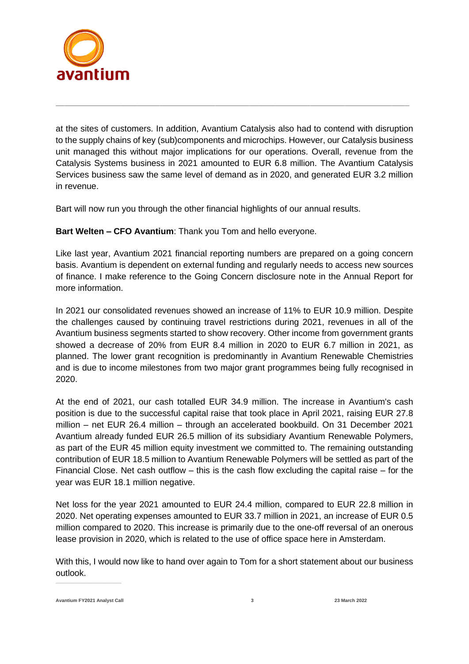

at the sites of customers. In addition, Avantium Catalysis also had to contend with disruption to the supply chains of key (sub)components and microchips. However, our Catalysis business unit managed this without major implications for our operations. Overall, revenue from the Catalysis Systems business in 2021 amounted to EUR 6.8 million. The Avantium Catalysis Services business saw the same level of demand as in 2020, and generated EUR 3.2 million in revenue.

\_\_\_\_\_\_\_\_\_\_\_\_\_\_\_\_\_\_\_\_\_\_\_\_\_\_\_\_\_\_\_\_\_\_\_\_\_\_\_\_\_\_\_\_\_\_\_\_\_\_\_\_\_\_\_\_\_\_\_\_\_\_\_\_\_\_\_\_\_\_\_\_\_\_\_\_\_\_\_\_\_\_

Bart will now run you through the other financial highlights of our annual results.

**Bart Welten – CFO Avantium**: Thank you Tom and hello everyone.

Like last year, Avantium 2021 financial reporting numbers are prepared on a going concern basis. Avantium is dependent on external funding and regularly needs to access new sources of finance. I make reference to the Going Concern disclosure note in the Annual Report for more information.

In 2021 our consolidated revenues showed an increase of 11% to EUR 10.9 million. Despite the challenges caused by continuing travel restrictions during 2021, revenues in all of the Avantium business segments started to show recovery. Other income from government grants showed a decrease of 20% from EUR 8.4 million in 2020 to EUR 6.7 million in 2021, as planned. The lower grant recognition is predominantly in Avantium Renewable Chemistries and is due to income milestones from two major grant programmes being fully recognised in 2020.

At the end of 2021, our cash totalled EUR 34.9 million. The increase in Avantium's cash position is due to the successful capital raise that took place in April 2021, raising EUR 27.8 million – net EUR 26.4 million – through an accelerated bookbuild. On 31 December 2021 Avantium already funded EUR 26.5 million of its subsidiary Avantium Renewable Polymers, as part of the EUR 45 million equity investment we committed to. The remaining outstanding contribution of EUR 18.5 million to Avantium Renewable Polymers will be settled as part of the Financial Close. Net cash outflow – this is the cash flow excluding the capital raise – for the year was EUR 18.1 million negative.

Net loss for the year 2021 amounted to EUR 24.4 million, compared to EUR 22.8 million in 2020. Net operating expenses amounted to EUR 33.7 million in 2021, an increase of EUR 0.5 million compared to 2020. This increase is primarily due to the one-off reversal of an onerous lease provision in 2020, which is related to the use of office space here in Amsterdam.

With this, I would now like to hand over again to Tom for a short statement about our business outlook.

**Avantium FY2021 Analyst Call 3 23 March 2022**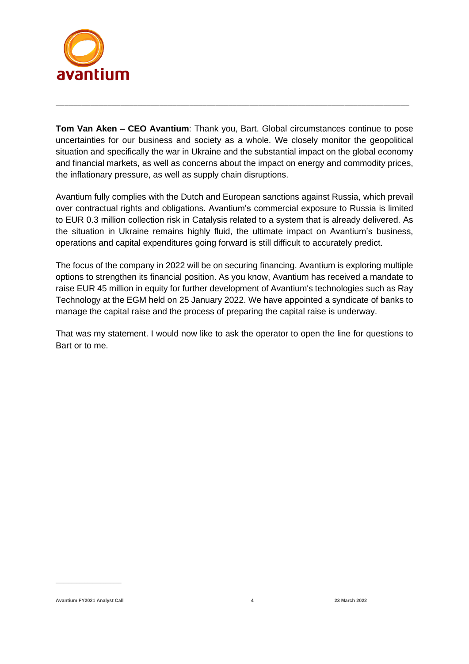

**Tom Van Aken – CEO Avantium**: Thank you, Bart. Global circumstances continue to pose uncertainties for our business and society as a whole. We closely monitor the geopolitical situation and specifically the war in Ukraine and the substantial impact on the global economy and financial markets, as well as concerns about the impact on energy and commodity prices, the inflationary pressure, as well as supply chain disruptions.

\_\_\_\_\_\_\_\_\_\_\_\_\_\_\_\_\_\_\_\_\_\_\_\_\_\_\_\_\_\_\_\_\_\_\_\_\_\_\_\_\_\_\_\_\_\_\_\_\_\_\_\_\_\_\_\_\_\_\_\_\_\_\_\_\_\_\_\_\_\_\_\_\_\_\_\_\_\_\_\_\_\_

Avantium fully complies with the Dutch and European sanctions against Russia, which prevail over contractual rights and obligations. Avantium's commercial exposure to Russia is limited to EUR 0.3 million collection risk in Catalysis related to a system that is already delivered. As the situation in Ukraine remains highly fluid, the ultimate impact on Avantium's business, operations and capital expenditures going forward is still difficult to accurately predict.

The focus of the company in 2022 will be on securing financing. Avantium is exploring multiple options to strengthen its financial position. As you know, Avantium has received a mandate to raise EUR 45 million in equity for further development of Avantium's technologies such as Ray Technology at the EGM held on 25 January 2022. We have appointed a syndicate of banks to manage the capital raise and the process of preparing the capital raise is underway.

That was my statement. I would now like to ask the operator to open the line for questions to Bart or to me.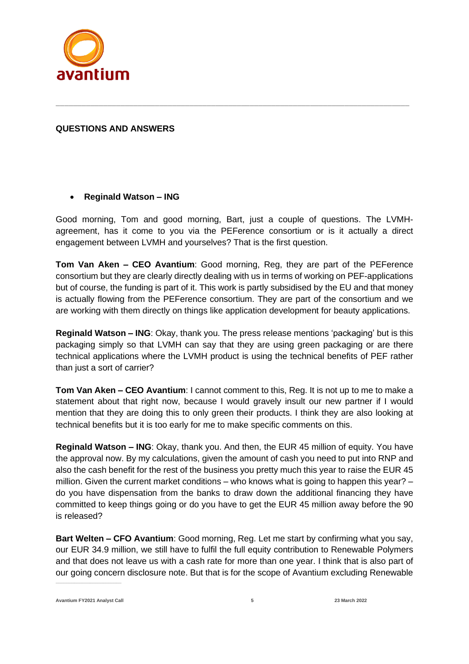

#### **QUESTIONS AND ANSWERS**

#### • **Reginald Watson – ING**

Good morning, Tom and good morning, Bart, just a couple of questions. The LVMHagreement, has it come to you via the PEFerence consortium or is it actually a direct engagement between LVMH and yourselves? That is the first question.

\_\_\_\_\_\_\_\_\_\_\_\_\_\_\_\_\_\_\_\_\_\_\_\_\_\_\_\_\_\_\_\_\_\_\_\_\_\_\_\_\_\_\_\_\_\_\_\_\_\_\_\_\_\_\_\_\_\_\_\_\_\_\_\_\_\_\_\_\_\_\_\_\_\_\_\_\_\_\_\_\_\_

**Tom Van Aken – CEO Avantium**: Good morning, Reg, they are part of the PEFerence consortium but they are clearly directly dealing with us in terms of working on PEF-applications but of course, the funding is part of it. This work is partly subsidised by the EU and that money is actually flowing from the PEFerence consortium. They are part of the consortium and we are working with them directly on things like application development for beauty applications.

**Reginald Watson – ING**: Okay, thank you. The press release mentions 'packaging' but is this packaging simply so that LVMH can say that they are using green packaging or are there technical applications where the LVMH product is using the technical benefits of PEF rather than just a sort of carrier?

**Tom Van Aken – CEO Avantium**: I cannot comment to this, Reg. It is not up to me to make a statement about that right now, because I would gravely insult our new partner if I would mention that they are doing this to only green their products. I think they are also looking at technical benefits but it is too early for me to make specific comments on this.

**Reginald Watson – ING**: Okay, thank you. And then, the EUR 45 million of equity. You have the approval now. By my calculations, given the amount of cash you need to put into RNP and also the cash benefit for the rest of the business you pretty much this year to raise the EUR 45 million. Given the current market conditions – who knows what is going to happen this year? – do you have dispensation from the banks to draw down the additional financing they have committed to keep things going or do you have to get the EUR 45 million away before the 90 is released?

**Bart Welten – CFO Avantium**: Good morning, Reg. Let me start by confirming what you say, our EUR 34.9 million, we still have to fulfil the full equity contribution to Renewable Polymers and that does not leave us with a cash rate for more than one year. I think that is also part of our going concern disclosure note. But that is for the scope of Avantium excluding Renewable

**Avantium FY2021 Analyst Call 5 23 March 2022**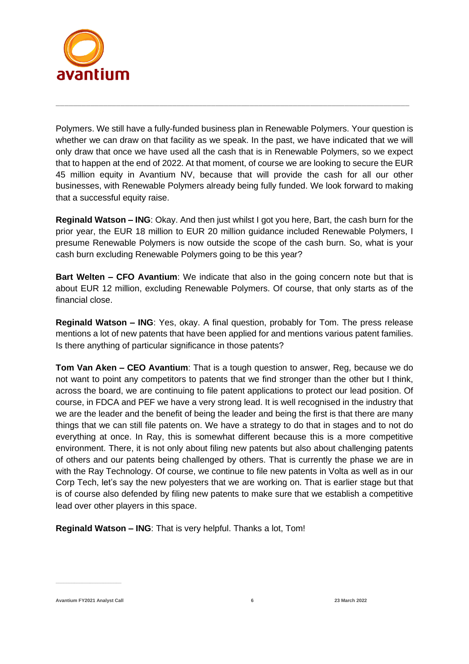

Polymers. We still have a fully-funded business plan in Renewable Polymers. Your question is whether we can draw on that facility as we speak. In the past, we have indicated that we will only draw that once we have used all the cash that is in Renewable Polymers, so we expect that to happen at the end of 2022. At that moment, of course we are looking to secure the EUR 45 million equity in Avantium NV, because that will provide the cash for all our other businesses, with Renewable Polymers already being fully funded. We look forward to making that a successful equity raise.

\_\_\_\_\_\_\_\_\_\_\_\_\_\_\_\_\_\_\_\_\_\_\_\_\_\_\_\_\_\_\_\_\_\_\_\_\_\_\_\_\_\_\_\_\_\_\_\_\_\_\_\_\_\_\_\_\_\_\_\_\_\_\_\_\_\_\_\_\_\_\_\_\_\_\_\_\_\_\_\_\_\_

**Reginald Watson – ING**: Okay. And then just whilst I got you here, Bart, the cash burn for the prior year, the EUR 18 million to EUR 20 million guidance included Renewable Polymers, I presume Renewable Polymers is now outside the scope of the cash burn. So, what is your cash burn excluding Renewable Polymers going to be this year?

**Bart Welten – CFO Avantium**: We indicate that also in the going concern note but that is about EUR 12 million, excluding Renewable Polymers. Of course, that only starts as of the financial close.

**Reginald Watson – ING**: Yes, okay. A final question, probably for Tom. The press release mentions a lot of new patents that have been applied for and mentions various patent families. Is there anything of particular significance in those patents?

**Tom Van Aken – CEO Avantium**: That is a tough question to answer, Reg, because we do not want to point any competitors to patents that we find stronger than the other but I think, across the board, we are continuing to file patent applications to protect our lead position. Of course, in FDCA and PEF we have a very strong lead. It is well recognised in the industry that we are the leader and the benefit of being the leader and being the first is that there are many things that we can still file patents on. We have a strategy to do that in stages and to not do everything at once. In Ray, this is somewhat different because this is a more competitive environment. There, it is not only about filing new patents but also about challenging patents of others and our patents being challenged by others. That is currently the phase we are in with the Ray Technology. Of course, we continue to file new patents in Volta as well as in our Corp Tech, let's say the new polyesters that we are working on. That is earlier stage but that is of course also defended by filing new patents to make sure that we establish a competitive lead over other players in this space.

**Reginald Watson – ING**: That is very helpful. Thanks a lot, Tom!

**Avantium FY2021 Analyst Call 6 23 March 2022**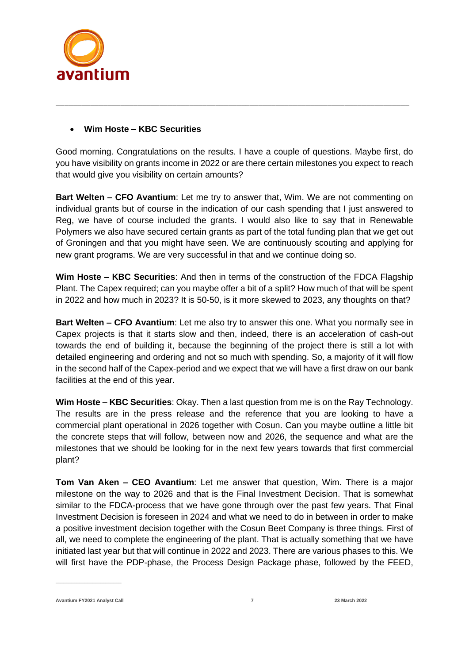

### • **Wim Hoste – KBC Securities**

Good morning. Congratulations on the results. I have a couple of questions. Maybe first, do you have visibility on grants income in 2022 or are there certain milestones you expect to reach that would give you visibility on certain amounts?

\_\_\_\_\_\_\_\_\_\_\_\_\_\_\_\_\_\_\_\_\_\_\_\_\_\_\_\_\_\_\_\_\_\_\_\_\_\_\_\_\_\_\_\_\_\_\_\_\_\_\_\_\_\_\_\_\_\_\_\_\_\_\_\_\_\_\_\_\_\_\_\_\_\_\_\_\_\_\_\_\_\_

**Bart Welten – CFO Avantium**: Let me try to answer that, Wim. We are not commenting on individual grants but of course in the indication of our cash spending that I just answered to Reg, we have of course included the grants. I would also like to say that in Renewable Polymers we also have secured certain grants as part of the total funding plan that we get out of Groningen and that you might have seen. We are continuously scouting and applying for new grant programs. We are very successful in that and we continue doing so.

**Wim Hoste – KBC Securities**: And then in terms of the construction of the FDCA Flagship Plant. The Capex required; can you maybe offer a bit of a split? How much of that will be spent in 2022 and how much in 2023? It is 50-50, is it more skewed to 2023, any thoughts on that?

**Bart Welten – CFO Avantium**: Let me also try to answer this one. What you normally see in Capex projects is that it starts slow and then, indeed, there is an acceleration of cash-out towards the end of building it, because the beginning of the project there is still a lot with detailed engineering and ordering and not so much with spending. So, a majority of it will flow in the second half of the Capex-period and we expect that we will have a first draw on our bank facilities at the end of this year.

**Wim Hoste – KBC Securities**: Okay. Then a last question from me is on the Ray Technology. The results are in the press release and the reference that you are looking to have a commercial plant operational in 2026 together with Cosun. Can you maybe outline a little bit the concrete steps that will follow, between now and 2026, the sequence and what are the milestones that we should be looking for in the next few years towards that first commercial plant?

**Tom Van Aken – CEO Avantium**: Let me answer that question, Wim. There is a major milestone on the way to 2026 and that is the Final Investment Decision. That is somewhat similar to the FDCA-process that we have gone through over the past few years. That Final Investment Decision is foreseen in 2024 and what we need to do in between in order to make a positive investment decision together with the Cosun Beet Company is three things. First of all, we need to complete the engineering of the plant. That is actually something that we have initiated last year but that will continue in 2022 and 2023. There are various phases to this. We will first have the PDP-phase, the Process Design Package phase, followed by the FEED,

**Avantium FY2021 Analyst Call 7 23 March 2022**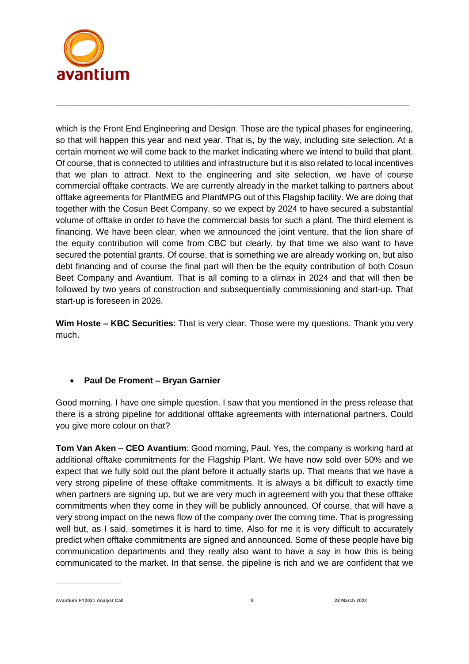

which is the Front End Engineering and Design. Those are the typical phases for engineering, so that will happen this year and next year. That is, by the way, including site selection. At a certain moment we will come back to the market indicating where we intend to build that plant. Of course, that is connected to utilities and infrastructure but it is also related to local incentives that we plan to attract. Next to the engineering and site selection, we have of course commercial offtake contracts. We are currently already in the market talking to partners about offtake agreements for PlantMEG and PlantMPG out of this Flagship facility. We are doing that together with the Cosun Beet Company, so we expect by 2024 to have secured a substantial volume of offtake in order to have the commercial basis for such a plant. The third element is financing. We have been clear, when we announced the joint venture, that the lion share of the equity contribution will come from CBC but clearly, by that time we also want to have secured the potential grants. Of course, that is something we are already working on, but also debt financing and of course the final part will then be the equity contribution of both Cosun Beet Company and Avantium. That is all coming to a climax in 2024 and that will then be followed by two years of construction and subsequentially commissioning and start-up. That start-up is foreseen in 2026.

\_\_\_\_\_\_\_\_\_\_\_\_\_\_\_\_\_\_\_\_\_\_\_\_\_\_\_\_\_\_\_\_\_\_\_\_\_\_\_\_\_\_\_\_\_\_\_\_\_\_\_\_\_\_\_\_\_\_\_\_\_\_\_\_\_\_\_\_\_\_\_\_\_\_\_\_\_\_\_\_\_\_

**Wim Hoste – KBC Securities**: That is very clear. Those were my questions. Thank you very much.

# • **Paul De Froment – Bryan Garnier**

Good morning. I have one simple question. I saw that you mentioned in the press release that there is a strong pipeline for additional offtake agreements with international partners. Could you give more colour on that?

**Tom Van Aken – CEO Avantium**: Good morning, Paul. Yes, the company is working hard at additional offtake commitments for the Flagship Plant. We have now sold over 50% and we expect that we fully sold out the plant before it actually starts up. That means that we have a very strong pipeline of these offtake commitments. It is always a bit difficult to exactly time when partners are signing up, but we are very much in agreement with you that these offtake commitments when they come in they will be publicly announced. Of course, that will have a very strong impact on the news flow of the company over the coming time. That is progressing well but, as I said, sometimes it is hard to time. Also for me it is very difficult to accurately predict when offtake commitments are signed and announced. Some of these people have big communication departments and they really also want to have a say in how this is being communicated to the market. In that sense, the pipeline is rich and we are confident that we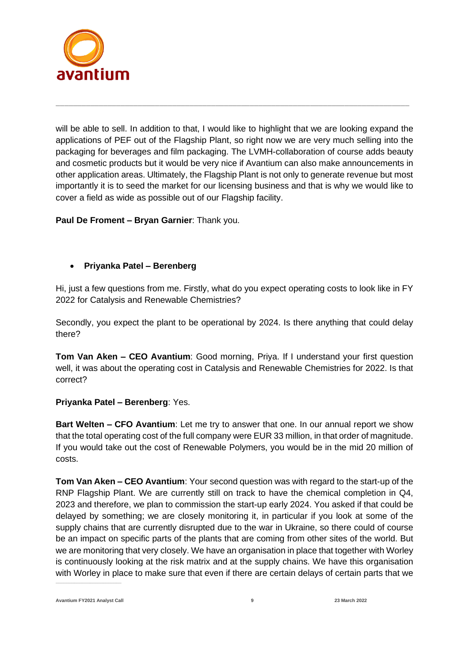

will be able to sell. In addition to that, I would like to highlight that we are looking expand the applications of PEF out of the Flagship Plant, so right now we are very much selling into the packaging for beverages and film packaging. The LVMH-collaboration of course adds beauty and cosmetic products but it would be very nice if Avantium can also make announcements in other application areas. Ultimately, the Flagship Plant is not only to generate revenue but most importantly it is to seed the market for our licensing business and that is why we would like to cover a field as wide as possible out of our Flagship facility.

\_\_\_\_\_\_\_\_\_\_\_\_\_\_\_\_\_\_\_\_\_\_\_\_\_\_\_\_\_\_\_\_\_\_\_\_\_\_\_\_\_\_\_\_\_\_\_\_\_\_\_\_\_\_\_\_\_\_\_\_\_\_\_\_\_\_\_\_\_\_\_\_\_\_\_\_\_\_\_\_\_\_

**Paul De Froment – Bryan Garnier**: Thank you.

### • **Priyanka Patel – Berenberg**

Hi, just a few questions from me. Firstly, what do you expect operating costs to look like in FY 2022 for Catalysis and Renewable Chemistries?

Secondly, you expect the plant to be operational by 2024. Is there anything that could delay there?

**Tom Van Aken – CEO Avantium**: Good morning, Priya. If I understand your first question well, it was about the operating cost in Catalysis and Renewable Chemistries for 2022. Is that correct?

#### **Priyanka Patel – Berenberg**: Yes.

**Bart Welten – CFO Avantium**: Let me try to answer that one. In our annual report we show that the total operating cost of the full company were EUR 33 million, in that order of magnitude. If you would take out the cost of Renewable Polymers, you would be in the mid 20 million of costs.

**Tom Van Aken – CEO Avantium**: Your second question was with regard to the start-up of the RNP Flagship Plant. We are currently still on track to have the chemical completion in Q4, 2023 and therefore, we plan to commission the start-up early 2024. You asked if that could be delayed by something; we are closely monitoring it, in particular if you look at some of the supply chains that are currently disrupted due to the war in Ukraine, so there could of course be an impact on specific parts of the plants that are coming from other sites of the world. But we are monitoring that very closely. We have an organisation in place that together with Worley is continuously looking at the risk matrix and at the supply chains. We have this organisation with Worley in place to make sure that even if there are certain delays of certain parts that we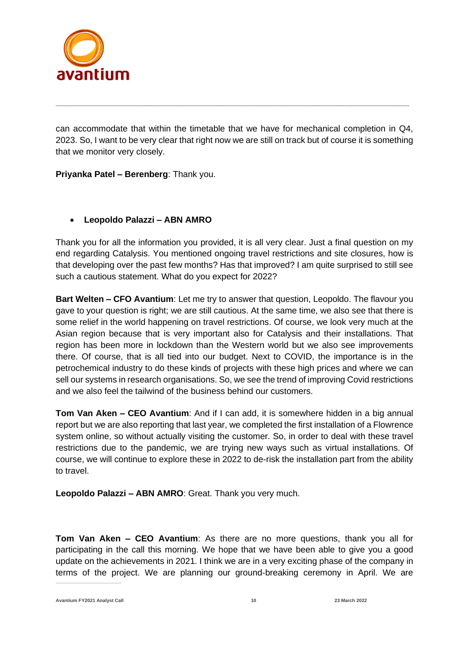

can accommodate that within the timetable that we have for mechanical completion in Q4, 2023. So, I want to be very clear that right now we are still on track but of course it is something that we monitor very closely.

\_\_\_\_\_\_\_\_\_\_\_\_\_\_\_\_\_\_\_\_\_\_\_\_\_\_\_\_\_\_\_\_\_\_\_\_\_\_\_\_\_\_\_\_\_\_\_\_\_\_\_\_\_\_\_\_\_\_\_\_\_\_\_\_\_\_\_\_\_\_\_\_\_\_\_\_\_\_\_\_\_\_

**Priyanka Patel – Berenberg**: Thank you.

# • **Leopoldo Palazzi – ABN AMRO**

Thank you for all the information you provided, it is all very clear. Just a final question on my end regarding Catalysis. You mentioned ongoing travel restrictions and site closures, how is that developing over the past few months? Has that improved? I am quite surprised to still see such a cautious statement. What do you expect for 2022?

**Bart Welten – CFO Avantium**: Let me try to answer that question, Leopoldo. The flavour you gave to your question is right; we are still cautious. At the same time, we also see that there is some relief in the world happening on travel restrictions. Of course, we look very much at the Asian region because that is very important also for Catalysis and their installations. That region has been more in lockdown than the Western world but we also see improvements there. Of course, that is all tied into our budget. Next to COVID, the importance is in the petrochemical industry to do these kinds of projects with these high prices and where we can sell our systems in research organisations. So, we see the trend of improving Covid restrictions and we also feel the tailwind of the business behind our customers.

**Tom Van Aken – CEO Avantium**: And if I can add, it is somewhere hidden in a big annual report but we are also reporting that last year, we completed the first installation of a Flowrence system online, so without actually visiting the customer. So, in order to deal with these travel restrictions due to the pandemic, we are trying new ways such as virtual installations. Of course, we will continue to explore these in 2022 to de-risk the installation part from the ability to travel.

**Leopoldo Palazzi – ABN AMRO**: Great. Thank you very much.

**Tom Van Aken – CEO Avantium**: As there are no more questions, thank you all for participating in the call this morning. We hope that we have been able to give you a good update on the achievements in 2021. I think we are in a very exciting phase of the company in terms of the project. We are planning our ground-breaking ceremony in April. We are

**Avantium FY2021 Analyst Call 10 23 March 2022**